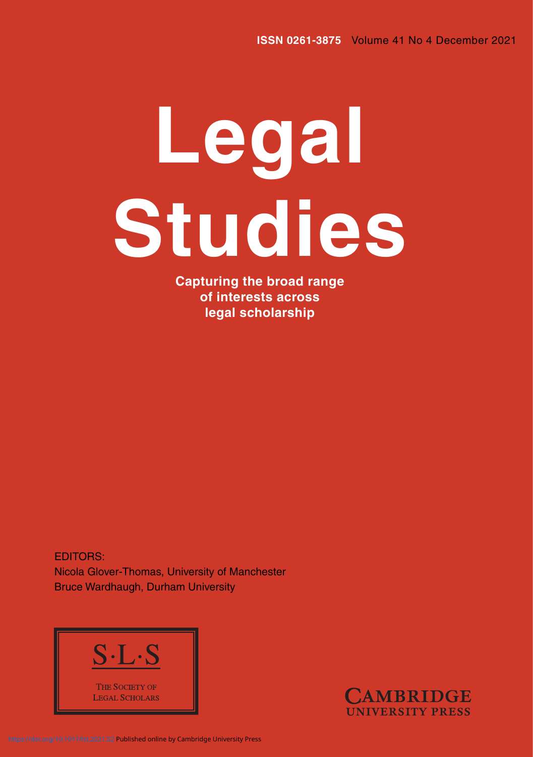# **Legal Studies**

**Capturing the broad range of interests across legal scholarship**

EDITORS: Nicola Glover-Thomas, University of Manchester Bruce Wardhaugh, Durham University